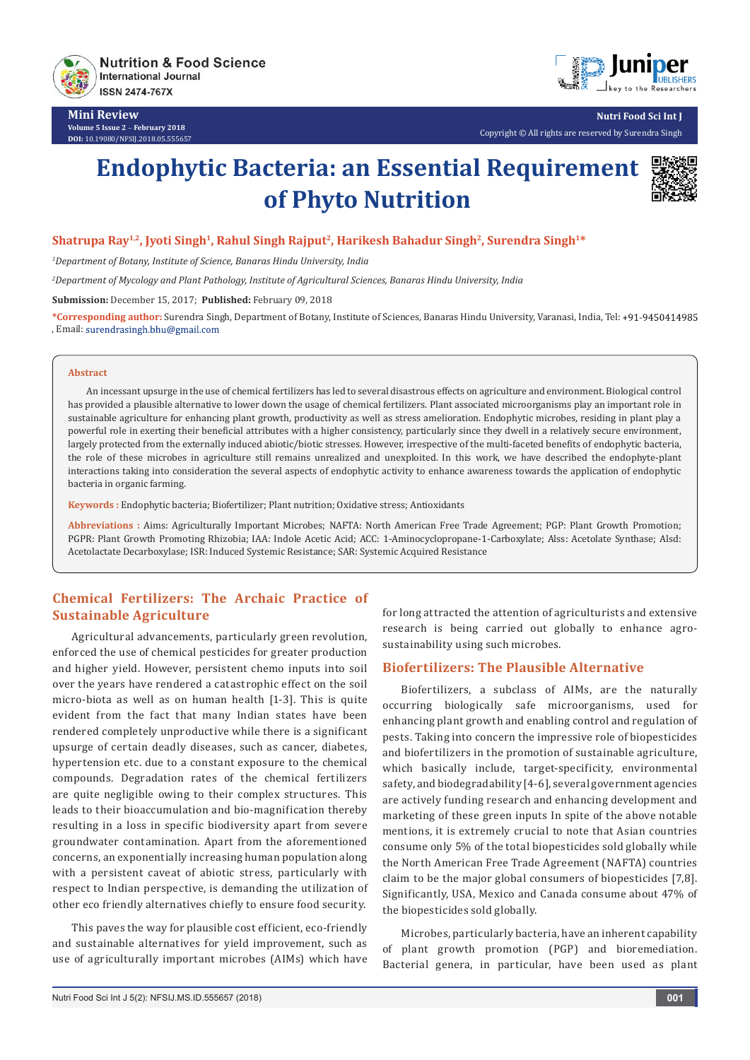

**Mini Review Volume 5 Issue 2** - **February 2018 DOI:** [10.19080/NFSIJ.2018.05.555657](http://dx.doi.org/10.19080/NFSIJ.2018.05.555657)



**Nutri Food Sci Int J**

#### Copyright © All rights are reserved by Surendra Singh

# **Endophytic Bacteria: an Essential Requirement of Phyto Nutrition**



#### Shatrupa Ray<sup>1,2</sup>, Jyoti Singh<sup>1</sup>, Rahul Singh Rajput<sup>2</sup>, Harikesh Bahadur Singh<sup>2</sup>, Surendra Singh<sup>1\*</sup>

*1 Department of Botany, Institute of Science, Banaras Hindu University, India*

*2 Department of Mycology and Plant Pathology, Institute of Agricultural Sciences, Banaras Hindu University, India*

**Submission:** December 15, 2017; **Published:** February 09, 2018

**\*Corresponding author:** Surendra Singh, Department of Botany, Institute of Sciences, Banaras Hindu University, Varanasi, India, Tel: , Email:

#### **Abstract**

An incessant upsurge in the use of chemical fertilizers has led to several disastrous effects on agriculture and environment. Biological control has provided a plausible alternative to lower down the usage of chemical fertilizers. Plant associated microorganisms play an important role in sustainable agriculture for enhancing plant growth, productivity as well as stress amelioration. Endophytic microbes, residing in plant play a powerful role in exerting their beneficial attributes with a higher consistency, particularly since they dwell in a relatively secure environment, largely protected from the externally induced abiotic/biotic stresses. However, irrespective of the multi-faceted benefits of endophytic bacteria, the role of these microbes in agriculture still remains unrealized and unexploited. In this work, we have described the endophyte-plant interactions taking into consideration the several aspects of endophytic activity to enhance awareness towards the application of endophytic bacteria in organic farming.

**Keywords :** Endophytic bacteria; Biofertilizer; Plant nutrition; Oxidative stress; Antioxidants

**Abbreviations :** Aims: Agriculturally Important Microbes; NAFTA: North American Free Trade Agreement; PGP: Plant Growth Promotion; PGPR: Plant Growth Promoting Rhizobia; IAA: Indole Acetic Acid; ACC: 1-Aminocyclopropane-1-Carboxylate; Alss: Acetolate Synthase; Alsd: Acetolactate Decarboxylase; ISR: Induced Systemic Resistance; SAR: Systemic Acquired Resistance

# **Chemical Fertilizers: The Archaic Practice of Sustainable Agriculture**

Agricultural advancements, particularly green revolution, enforced the use of chemical pesticides for greater production and higher yield. However, persistent chemo inputs into soil over the years have rendered a catastrophic effect on the soil micro-biota as well as on human health [1-3]. This is quite evident from the fact that many Indian states have been rendered completely unproductive while there is a significant upsurge of certain deadly diseases, such as cancer, diabetes, hypertension etc. due to a constant exposure to the chemical compounds. Degradation rates of the chemical fertilizers are quite negligible owing to their complex structures. This leads to their bioaccumulation and bio-magnification thereby resulting in a loss in specific biodiversity apart from severe groundwater contamination. Apart from the aforementioned concerns, an exponentially increasing human population along with a persistent caveat of abiotic stress, particularly with respect to Indian perspective, is demanding the utilization of other eco friendly alternatives chiefly to ensure food security.

This paves the way for plausible cost efficient, eco-friendly and sustainable alternatives for yield improvement, such as use of agriculturally important microbes (AIMs) which have for long attracted the attention of agriculturists and extensive research is being carried out globally to enhance agrosustainability using such microbes.

## **Biofertilizers: The Plausible Alternative**

Biofertilizers, a subclass of AIMs, are the naturally occurring biologically safe microorganisms, used for enhancing plant growth and enabling control and regulation of pests. Taking into concern the impressive role of biopesticides and biofertilizers in the promotion of sustainable agriculture, which basically include, target-specificity, environmental safety, and biodegradability [4-6], several government agencies are actively funding research and enhancing development and marketing of these green inputs In spite of the above notable mentions, it is extremely crucial to note that Asian countries consume only 5% of the total biopesticides sold globally while the North American Free Trade Agreement (NAFTA) countries claim to be the major global consumers of biopesticides [7,8]. Significantly, USA, Mexico and Canada consume about 47% of the biopesticides sold globally.

Microbes, particularly bacteria, have an inherent capability of plant growth promotion (PGP) and bioremediation. Bacterial genera, in particular, have been used as plant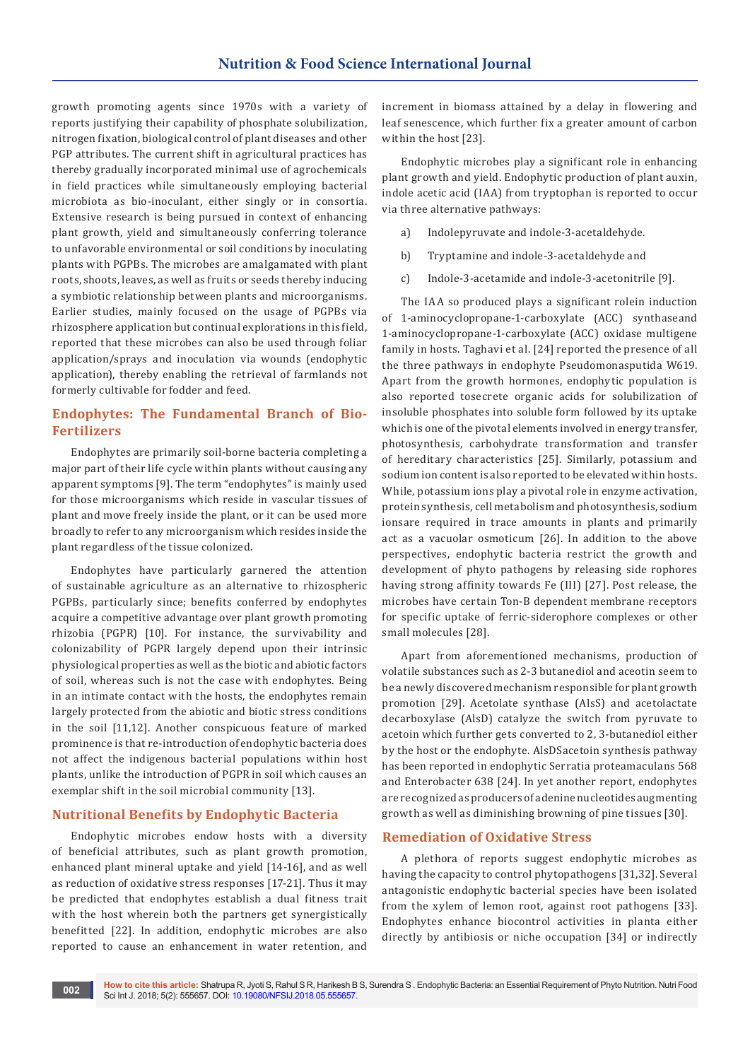growth promoting agents since 1970s with a variety of reports justifying their capability of phosphate solubilization, nitrogen fixation, biological control of plant diseases and other PGP attributes. The current shift in agricultural practices has thereby gradually incorporated minimal use of agrochemicals in field practices while simultaneously employing bacterial microbiota as bio-inoculant, either singly or in consortia. Extensive research is being pursued in context of enhancing plant growth, yield and simultaneously conferring tolerance to unfavorable environmental or soil conditions by inoculating plants with PGPBs. The microbes are amalgamated with plant roots, shoots, leaves, as well as fruits or seeds thereby inducing a symbiotic relationship between plants and microorganisms. Earlier studies, mainly focused on the usage of PGPBs via rhizosphere application but continual explorations in this field, reported that these microbes can also be used through foliar application/sprays and inoculation via wounds (endophytic application), thereby enabling the retrieval of farmlands not formerly cultivable for fodder and feed.

# **Endophytes: The Fundamental Branch of Bio-Fertilizers**

Endophytes are primarily soil-borne bacteria completing a major part of their life cycle within plants without causing any apparent symptoms [9]. The term "endophytes" is mainly used for those microorganisms which reside in vascular tissues of plant and move freely inside the plant, or it can be used more broadly to refer to any microorganism which resides inside the plant regardless of the tissue colonized.

Endophytes have particularly garnered the attention of sustainable agriculture as an alternative to rhizospheric PGPBs, particularly since; benefits conferred by endophytes acquire a competitive advantage over plant growth promoting rhizobia (PGPR) [10]. For instance, the survivability and colonizability of PGPR largely depend upon their intrinsic physiological properties as well as the biotic and abiotic factors of soil, whereas such is not the case with endophytes. Being in an intimate contact with the hosts, the endophytes remain largely protected from the abiotic and biotic stress conditions in the soil [11,12]. Another conspicuous feature of marked prominence is that re-introduction of endophytic bacteria does not affect the indigenous bacterial populations within host plants, unlike the introduction of PGPR in soil which causes an exemplar shift in the soil microbial community [13].

## **Nutritional Benefits by Endophytic Bacteria**

Endophytic microbes endow hosts with a diversity of beneficial attributes, such as plant growth promotion, enhanced plant mineral uptake and yield [14-16], and as well as reduction of oxidative stress responses [17-21]. Thus it may be predicted that endophytes establish a dual fitness trait with the host wherein both the partners get synergistically benefitted [22]. In addition, endophytic microbes are also reported to cause an enhancement in water retention, and

increment in biomass attained by a delay in flowering and leaf senescence, which further fix a greater amount of carbon within the host [23].

Endophytic microbes play a significant role in enhancing plant growth and yield. Endophytic production of plant auxin, indole acetic acid (IAA) from tryptophan is reported to occur via three alternative pathways:

- a) Indolepyruvate and indole-3-acetaldehyde.
- b) Tryptamine and indole-3-acetaldehyde and
- c) Indole-3-acetamide and indole-3-acetonitrile [9].

The IAA so produced plays a significant rolein induction of 1-aminocyclopropane-1-carboxylate (ACC) synthaseand 1-aminocyclopropane-1-carboxylate (ACC) oxidase multigene family in hosts. Taghavi et al. [24] reported the presence of all the three pathways in endophyte Pseudomonasputida W619. Apart from the growth hormones, endophytic population is also reported tosecrete organic acids for solubilization of insoluble phosphates into soluble form followed by its uptake which is one of the pivotal elements involved in energy transfer, photosynthesis, carbohydrate transformation and transfer of hereditary characteristics [25]. Similarly, potassium and sodium ion content is also reported to be elevated within hosts. While, potassium ions play a pivotal role in enzyme activation, protein synthesis, cell metabolism and photosynthesis, sodium ionsare required in trace amounts in plants and primarily act as a vacuolar osmoticum [26]. In addition to the above perspectives, endophytic bacteria restrict the growth and development of phyto pathogens by releasing side rophores having strong affinity towards Fe (III) [27]. Post release, the microbes have certain Ton-B dependent membrane receptors for specific uptake of ferric-siderophore complexes or other small molecules [28].

Apart from aforementioned mechanisms, production of volatile substances such as 2-3 butanediol and aceotin seem to be a newly discovered mechanism responsible for plant growth promotion [29]. Acetolate synthase (AlsS) and acetolactate decarboxylase (AlsD) catalyze the switch from pyruvate to acetoin which further gets converted to 2, 3-butanediol either by the host or the endophyte. AlsDSacetoin synthesis pathway has been reported in endophytic Serratia proteamaculans 568 and Enterobacter 638 [24]. In yet another report, endophytes are recognized as producers of adenine nucleotides augmenting growth as well as diminishing browning of pine tissues [30].

## **Remediation of Oxidative Stress**

A plethora of reports suggest endophytic microbes as having the capacity to control phytopathogens [31,32]. Several antagonistic endophytic bacterial species have been isolated from the xylem of lemon root, against root pathogens [33]. Endophytes enhance biocontrol activities in planta either directly by antibiosis or niche occupation [34] or indirectly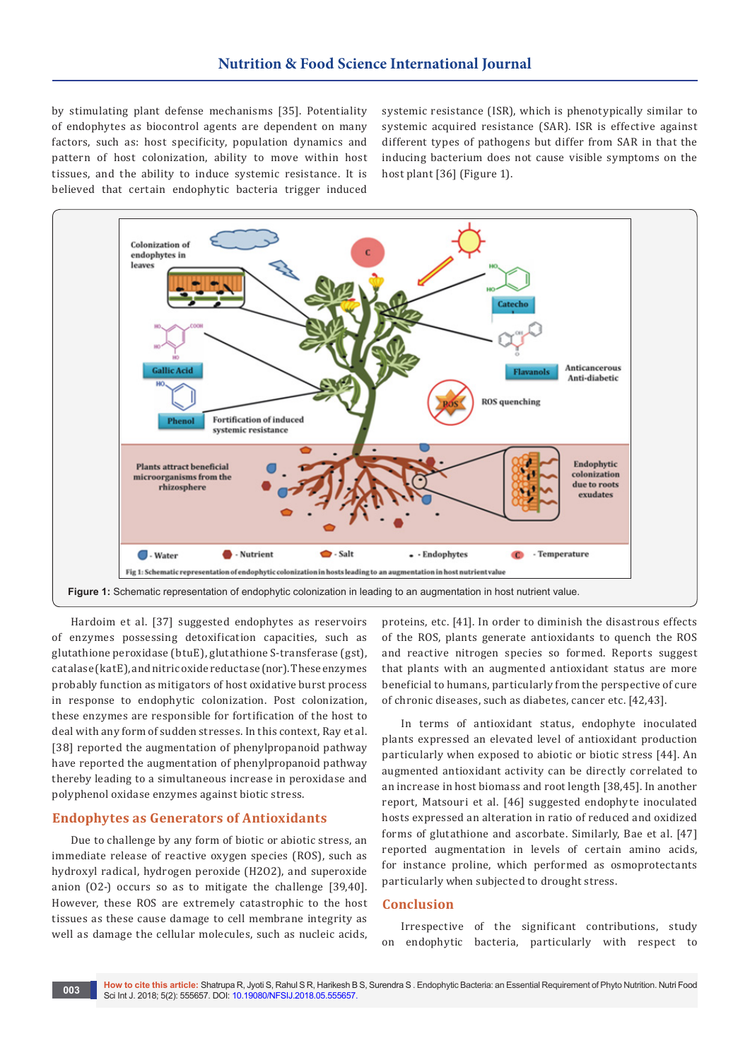by stimulating plant defense mechanisms [35]. Potentiality of endophytes as biocontrol agents are dependent on many factors, such as: host specificity, population dynamics and pattern of host colonization, ability to move within host tissues, and the ability to induce systemic resistance. It is believed that certain endophytic bacteria trigger induced

systemic resistance (ISR), which is phenotypically similar to systemic acquired resistance (SAR). ISR is effective against different types of pathogens but differ from SAR in that the inducing bacterium does not cause visible symptoms on the host plant [36] (Figure 1).



Hardoim et al. [37] suggested endophytes as reservoirs of enzymes possessing detoxification capacities, such as glutathione peroxidase (btuE), glutathione S-transferase (gst), catalase (katE), and nitric oxide reductase (nor). These enzymes probably function as mitigators of host oxidative burst process in response to endophytic colonization. Post colonization, these enzymes are responsible for fortification of the host to deal with any form of sudden stresses. In this context, Ray et al. [38] reported the augmentation of phenylpropanoid pathway have reported the augmentation of phenylpropanoid pathway thereby leading to a simultaneous increase in peroxidase and polyphenol oxidase enzymes against biotic stress.

#### **Endophytes as Generators of Antioxidants**

Due to challenge by any form of biotic or abiotic stress, an immediate release of reactive oxygen species (ROS), such as hydroxyl radical, hydrogen peroxide (H2O2), and superoxide anion (O2-) occurs so as to mitigate the challenge [39,40]. However, these ROS are extremely catastrophic to the host tissues as these cause damage to cell membrane integrity as well as damage the cellular molecules, such as nucleic acids,

proteins, etc. [41]. In order to diminish the disastrous effects of the ROS, plants generate antioxidants to quench the ROS and reactive nitrogen species so formed. Reports suggest that plants with an augmented antioxidant status are more beneficial to humans, particularly from the perspective of cure of chronic diseases, such as diabetes, cancer etc. [42,43].

In terms of antioxidant status, endophyte inoculated plants expressed an elevated level of antioxidant production particularly when exposed to abiotic or biotic stress [44]. An augmented antioxidant activity can be directly correlated to an increase in host biomass and root length [38,45]. In another report, Matsouri et al. [46] suggested endophyte inoculated hosts expressed an alteration in ratio of reduced and oxidized forms of glutathione and ascorbate. Similarly, Bae et al. [47] reported augmentation in levels of certain amino acids, for instance proline, which performed as osmoprotectants particularly when subjected to drought stress.

#### **Conclusion**

Irrespective of the significant contributions, study on endophytic bacteria, particularly with respect to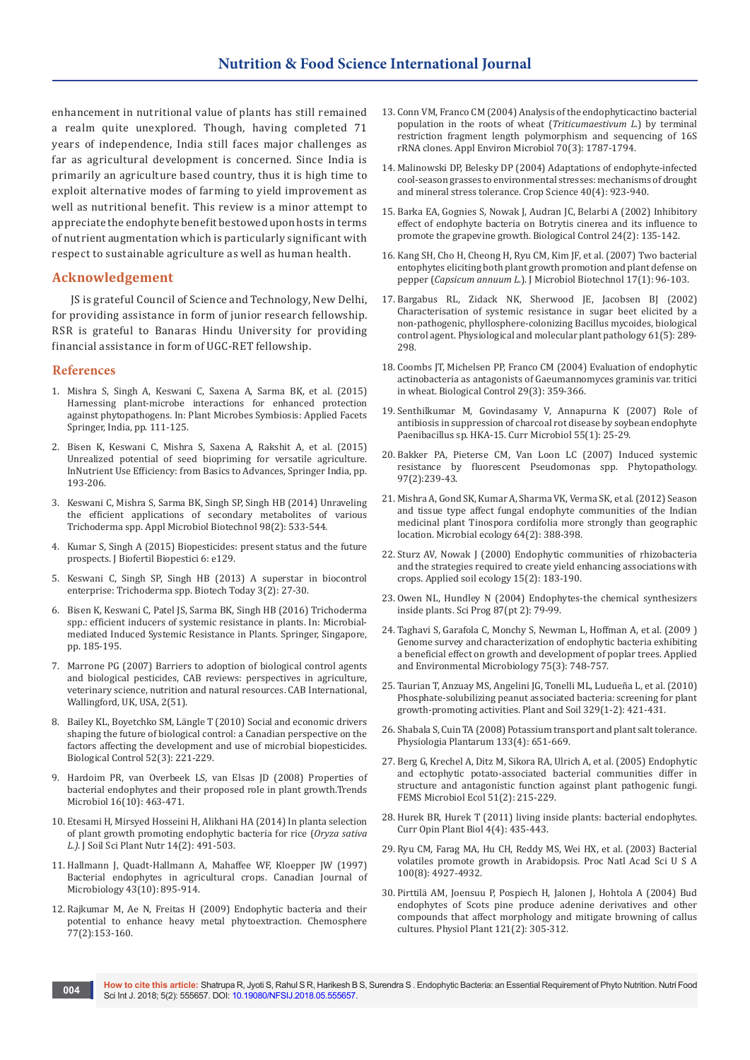enhancement in nutritional value of plants has still remained a realm quite unexplored. Though, having completed 71 years of independence, India still faces major challenges as far as agricultural development is concerned. Since India is primarily an agriculture based country, thus it is high time to exploit alternative modes of farming to yield improvement as well as nutritional benefit. This review is a minor attempt to appreciate the endophyte benefit bestowed upon hosts in terms of nutrient augmentation which is particularly significant with respect to sustainable agriculture as well as human health.

#### **Acknowledgement**

JS is grateful Council of Science and Technology, New Delhi, for providing assistance in form of junior research fellowship. RSR is grateful to Banaras Hindu University for providing financial assistance in form of UGC-RET fellowship.

#### **References**

- 1. Mishra S, Singh A, Keswani C, Saxena A, Sarma BK, et al. (2015) Harnessing plant-microbe interactions for enhanced protection against phytopathogens. In: Plant Microbes Symbiosis: Applied Facets Springer, India, pp. 111-125.
- 2. Bisen K, Keswani C, Mishra S, Saxena A, Rakshit A, et al. (2015) Unrealized potential of seed biopriming for versatile agriculture. InNutrient Use Efficiency: from Basics to Advances, Springer India, pp. 193-206.
- 3. [Keswani C, Mishra S, Sarma BK, Singh SP, Singh HB \(2014\) Unraveling](https://www.ncbi.nlm.nih.gov/pubmed/24276619)  [the efficient applications of secondary metabolites of various](https://www.ncbi.nlm.nih.gov/pubmed/24276619)  [Trichoderma spp. Appl Microbiol Biotechnol 98\(2\): 533-544.](https://www.ncbi.nlm.nih.gov/pubmed/24276619)
- 4. Kumar S, Singh A (2015) Biopesticides: present status and the future prospects. J Biofertil Biopestici 6: e129.
- 5. [Keswani C, Singh SP, Singh HB \(2013\) A superstar in biocontrol](http://www.indianjournals.com/ijor.aspx?target=ijor:bto&volume=3&issue=2&article=005)  [enterprise: Trichoderma spp. Biotech Today 3\(2\): 27-30.](http://www.indianjournals.com/ijor.aspx?target=ijor:bto&volume=3&issue=2&article=005)
- 6. Bisen K, Keswani C, Patel JS, Sarma BK, Singh HB (2016) Trichoderma spp.: efficient inducers of systemic resistance in plants. In: Microbialmediated Induced Systemic Resistance in Plants. Springer, Singapore, pp. 185-195.
- 7. Marrone PG (2007) Barriers to adoption of biological control agents and biological pesticides, CAB reviews: perspectives in agriculture, veterinary science, nutrition and natural resources. CAB International, Wallingford, UK, USA, 2(51).
- 8. [Bailey KL, Boyetchko SM, Längle T \(2010\) Social and economic drivers](http://agris.fao.org/agris-search/search.do?recordID=US201301807205)  [shaping the future of biological control: a Canadian perspective on the](http://agris.fao.org/agris-search/search.do?recordID=US201301807205)  [factors affecting the development and use of microbial biopesticides.](http://agris.fao.org/agris-search/search.do?recordID=US201301807205)  [Biological Control 52\(3\): 221-229.](http://agris.fao.org/agris-search/search.do?recordID=US201301807205)
- 9. [Hardoim PR, van Overbeek LS, van Elsas JD \(2008\) Properties of](https://www.ncbi.nlm.nih.gov/pubmed/18789693)  [bacterial endophytes and their proposed role in plant growth.Trends](https://www.ncbi.nlm.nih.gov/pubmed/18789693)  [Microbiol 16\(10\): 463-471.](https://www.ncbi.nlm.nih.gov/pubmed/18789693)
- 10. [Etesami H, Mirsyed Hosseini H, Alikhani HA \(2014\) In planta selection](https://scielo.conicyt.cl/scielo.php?script=sci_arttext&pid=S0718-95162014000200019)  [of plant growth promoting endophytic bacteria for rice \(](https://scielo.conicyt.cl/scielo.php?script=sci_arttext&pid=S0718-95162014000200019)*Oryza sativa L.).* [J Soil Sci Plant Nutr 14\(2\): 491-503.](https://scielo.conicyt.cl/scielo.php?script=sci_arttext&pid=S0718-95162014000200019)
- 11. Hallmann J, Quadt-Hallmann A, Mahaffee WF, Kloepper JW (1997) Bacterial endophytes in agricultural crops. Canadian Journal of Microbiology 43(10): 895-914.
- 12. [Rajkumar M, Ae N, Freitas H \(2009\) Endophytic bacteria and their](https://www.ncbi.nlm.nih.gov/pubmed/19647283)  [potential to enhance heavy metal phytoextraction. Chemosphere](https://www.ncbi.nlm.nih.gov/pubmed/19647283)  [77\(2\):153-160.](https://www.ncbi.nlm.nih.gov/pubmed/19647283)
- 13. [Conn VM, Franco CM \(2004\) Analysis of the endophyticactino bacterial](https://www.ncbi.nlm.nih.gov/pubmed/15006805/)  [population in the roots of wheat \(](https://www.ncbi.nlm.nih.gov/pubmed/15006805/)*Triticumaestivum L.*) by terminal [restriction fragment length polymorphism and sequencing of 16S](https://www.ncbi.nlm.nih.gov/pubmed/15006805/)  [rRNA clones. Appl Environ Microbiol 70\(3\): 1787-1794.](https://www.ncbi.nlm.nih.gov/pubmed/15006805/)
- 14. Malinowski DP, Belesky DP (2004) Adaptations of endophyte-infected cool-season grasses to environmental stresses: mechanisms of drought and mineral stress tolerance. Crop Science 40(4): 923-940.
- 15. Barka EA, Gognies S, Nowak J, Audran JC, Belarbi A (2002) Inhibitory effect of endophyte bacteria on Botrytis cinerea and its influence to promote the grapevine growth. Biological Control 24(2): 135-142.
- 16. [Kang SH, Cho H, Cheong H, Ryu CM, Kim JF, et al. \(2007\) Two bacterial](https://www.ncbi.nlm.nih.gov/pubmed/18051359)  [entophytes eliciting both plant growth promotion and plant defense on](https://www.ncbi.nlm.nih.gov/pubmed/18051359)  pepper (*Capsicum annuum L.*[\). J Microbiol Biotechnol 17\(1\): 96-103.](https://www.ncbi.nlm.nih.gov/pubmed/18051359)
- 17. Bargabus RL, Zidack NK, Sherwood JE, Jacobsen BJ (2002) Characterisation of systemic resistance in sugar beet elicited by a non-pathogenic, phyllosphere-colonizing Bacillus mycoides, biological control agent. Physiological and molecular plant pathology 61(5): 289- 298.
- 18. Coombs JT, Michelsen PP, Franco CM (2004) Evaluation of endophytic actinobacteria as antagonists of Gaeumannomyces graminis var. tritici in wheat. Biological Control 29(3): 359-366.
- 19. [Senthilkumar M, Govindasamy V, Annapurna K \(2007\) Role of](https://www.ncbi.nlm.nih.gov/pubmed/17554471)  [antibiosis in suppression of charcoal rot disease by soybean endophyte](https://www.ncbi.nlm.nih.gov/pubmed/17554471)  [Paenibacillus sp. HKA-15. Curr Microbiol 55\(1\): 25-29.](https://www.ncbi.nlm.nih.gov/pubmed/17554471)
- 20. Bakker PA, Pieterse CM, Van Loon LC (2007) Induced systemic resistance by fluorescent Pseudomonas spp. Phytopathology. 97(2):239-43.
- 21. [Mishra A, Gond SK, Kumar A, Sharma VK, Verma SK, et al. \(2012\) Season](https://www.ncbi.nlm.nih.gov/pubmed/22430503)  [and tissue type affect fungal endophyte communities of the Indian](https://www.ncbi.nlm.nih.gov/pubmed/22430503)  [medicinal plant Tinospora cordifolia more strongly than geographic](https://www.ncbi.nlm.nih.gov/pubmed/22430503)  [location. Microbial ecology 64\(2\): 388-398.](https://www.ncbi.nlm.nih.gov/pubmed/22430503)
- 22. Sturz AV, Nowak J (2000) Endophytic communities of rhizobacteria and the strategies required to create yield enhancing associations with crops. Applied soil ecology 15(2): 183-190.
- 23. [Owen NL, Hundley N \(2004\) Endophytes-the chemical synthesizers](https://www.ncbi.nlm.nih.gov/pubmed/15782772)  [inside plants. Sci Prog 87\(pt 2\): 79-99.](https://www.ncbi.nlm.nih.gov/pubmed/15782772)
- 24. [Taghavi S, Garafola C, Monchy S, Newman L, Hoffman A, et al. \(2009 \)](http://aem.asm.org/content/75/3/748)  [Genome survey and characterization of endophytic bacteria exhibiting](http://aem.asm.org/content/75/3/748)  [a beneficial effect on growth and development of poplar trees. Applied](http://aem.asm.org/content/75/3/748)  [and Environmental Microbiology 75\(3\): 748-757.](http://aem.asm.org/content/75/3/748)
- 25. [Taurian T, Anzuay MS, Angelini JG, Tonelli ML, Ludueña L, et al. \(2010\)](https://link.springer.com/article/10.1007/s11104-009-0168-x)  [Phosphate-solubilizing peanut associated bacteria: screening for plant](https://link.springer.com/article/10.1007/s11104-009-0168-x)  [growth-promoting activities. Plant and Soil 329\(1-2\): 421-431.](https://link.springer.com/article/10.1007/s11104-009-0168-x)
- 26. [Shabala S, Cuin TA \(2008\) Potassium transport and plant salt tolerance.](https://www.ncbi.nlm.nih.gov/pubmed/18724408)  [Physiologia Plantarum 133\(4\): 651-669.](https://www.ncbi.nlm.nih.gov/pubmed/18724408)
- 27. [Berg G, Krechel A, Ditz M, Sikora RA, Ulrich A, et al. \(2005\) Endophytic](https://www.ncbi.nlm.nih.gov/pubmed/16329870)  [and ectophytic potato-associated bacterial communities differ in](https://www.ncbi.nlm.nih.gov/pubmed/16329870)  [structure and antagonistic function against plant pathogenic fungi.](https://www.ncbi.nlm.nih.gov/pubmed/16329870)  [FEMS Microbiol Ecol 51\(2\): 215-229.](https://www.ncbi.nlm.nih.gov/pubmed/16329870)
- 28. [Hurek BR, Hurek T \(2011\) living inside plants: bacterial endophytes.](https://www.ncbi.nlm.nih.gov/pubmed/21536480)  [Curr Opin Plant Biol 4\(4\): 435-443.](https://www.ncbi.nlm.nih.gov/pubmed/21536480)
- 29. [Ryu CM, Farag MA, Hu CH, Reddy MS, Wei HX, et al. \(2003\) Bacterial](https://www.ncbi.nlm.nih.gov/pubmed/12684534)  [volatiles promote growth in Arabidopsis. Proc Natl Acad Sci U S A](https://www.ncbi.nlm.nih.gov/pubmed/12684534)  [100\(8\): 4927-4932.](https://www.ncbi.nlm.nih.gov/pubmed/12684534)
- 30. [Pirttilä AM, Joensuu P, Pospiech H, Jalonen J, Hohtola A \(2004\) Bud](https://www.ncbi.nlm.nih.gov/pubmed/15153198)  [endophytes of Scots pine produce adenine derivatives and other](https://www.ncbi.nlm.nih.gov/pubmed/15153198)  [compounds that affect morphology and mitigate browning of callus](https://www.ncbi.nlm.nih.gov/pubmed/15153198)  [cultures. Physiol Plant 121\(2\): 305-312.](https://www.ncbi.nlm.nih.gov/pubmed/15153198)